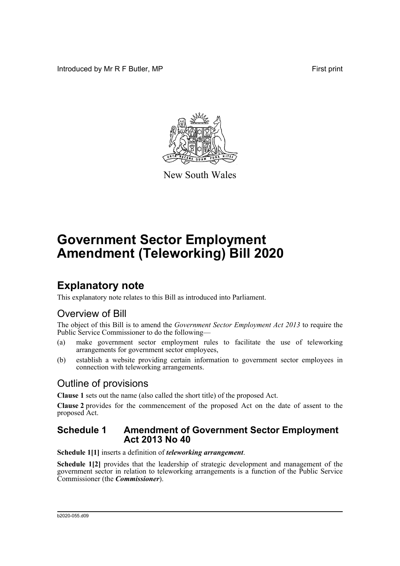Introduced by Mr R F Butler, MP First print



New South Wales

# **Government Sector Employment Amendment (Teleworking) Bill 2020**

### **Explanatory note**

This explanatory note relates to this Bill as introduced into Parliament.

### Overview of Bill

The object of this Bill is to amend the *Government Sector Employment Act 2013* to require the Public Service Commissioner to do the following—

- (a) make government sector employment rules to facilitate the use of teleworking arrangements for government sector employees,
- (b) establish a website providing certain information to government sector employees in connection with teleworking arrangements.

### Outline of provisions

**Clause 1** sets out the name (also called the short title) of the proposed Act.

**Clause 2** provides for the commencement of the proposed Act on the date of assent to the proposed Act.

#### **Schedule 1 Amendment of Government Sector Employment Act 2013 No 40**

**Schedule 1[1]** inserts a definition of *teleworking arrangement*.

**Schedule 1[2]** provides that the leadership of strategic development and management of the government sector in relation to teleworking arrangements is a function of the Public Service Commissioner (the *Commissioner*).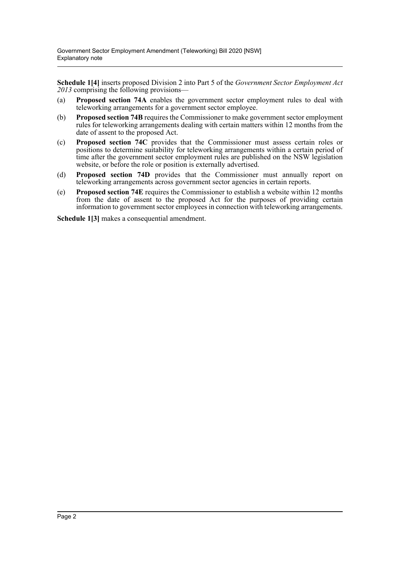**Schedule 1[4]** inserts proposed Division 2 into Part 5 of the *Government Sector Employment Act 2013* comprising the following provisions—

- (a) **Proposed section 74A** enables the government sector employment rules to deal with teleworking arrangements for a government sector employee.
- (b) **Proposed section 74B** requires the Commissioner to make government sector employment rules for teleworking arrangements dealing with certain matters within 12 months from the date of assent to the proposed Act.
- (c) **Proposed section 74C** provides that the Commissioner must assess certain roles or positions to determine suitability for teleworking arrangements within a certain period of time after the government sector employment rules are published on the NSW legislation website, or before the role or position is externally advertised.
- (d) **Proposed section 74D** provides that the Commissioner must annually report on teleworking arrangements across government sector agencies in certain reports.
- (e) **Proposed section 74E** requires the Commissioner to establish a website within 12 months from the date of assent to the proposed Act for the purposes of providing certain information to government sector employees in connection with teleworking arrangements.

**Schedule 1[3]** makes a consequential amendment.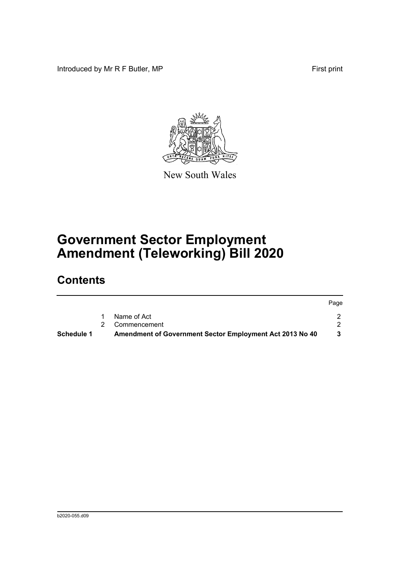Introduced by Mr R F Butler, MP First print



New South Wales

# **Government Sector Employment Amendment (Teleworking) Bill 2020**

## **Contents**

|                   |                                                          | Page |
|-------------------|----------------------------------------------------------|------|
|                   | Name of Act                                              |      |
|                   | 2 Commencement                                           |      |
| <b>Schedule 1</b> | Amendment of Government Sector Employment Act 2013 No 40 |      |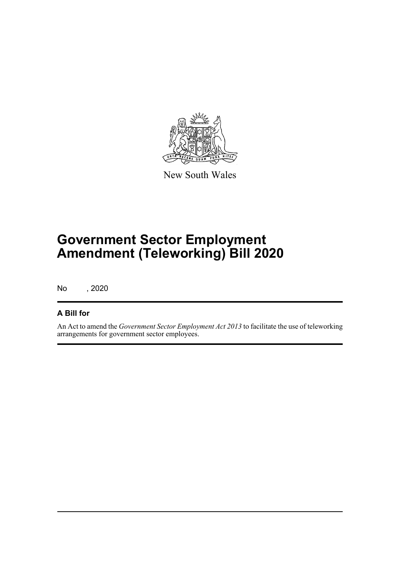

New South Wales

# **Government Sector Employment Amendment (Teleworking) Bill 2020**

No , 2020

#### **A Bill for**

An Act to amend the *Government Sector Employment Act 2013* to facilitate the use of teleworking arrangements for government sector employees.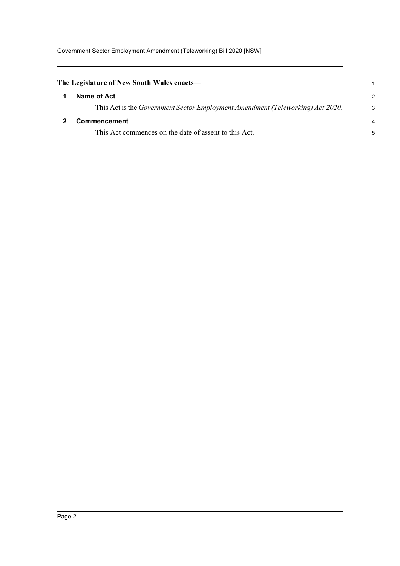<span id="page-4-1"></span><span id="page-4-0"></span>

| The Legislature of New South Wales enacts—                                             |               |
|----------------------------------------------------------------------------------------|---------------|
| Name of Act                                                                            | $\mathcal{P}$ |
| This Act is the <i>Government Sector Employment Amendment (Teleworking) Act 2020</i> . | 3             |
| <b>Commencement</b>                                                                    |               |
| This Act commences on the date of assent to this Act.                                  | 5             |
|                                                                                        |               |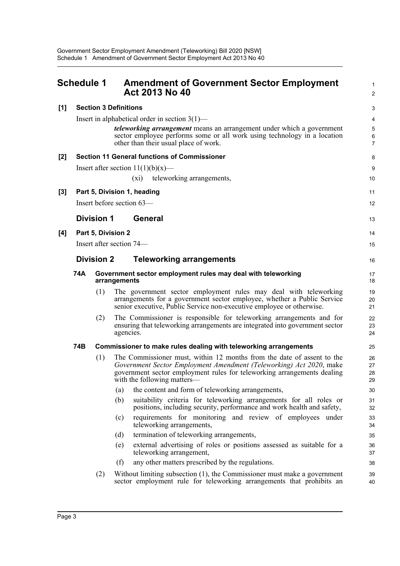<span id="page-5-0"></span>

|       | <b>Schedule 1</b>                                   |                             | <b>Amendment of Government Sector Employment</b><br><b>Act 2013 No 40</b>                                                                                                                                                                               | 1<br>$\overline{2}$      |  |  |
|-------|-----------------------------------------------------|-----------------------------|---------------------------------------------------------------------------------------------------------------------------------------------------------------------------------------------------------------------------------------------------------|--------------------------|--|--|
| [1]   | <b>Section 3 Definitions</b>                        |                             |                                                                                                                                                                                                                                                         |                          |  |  |
|       | Insert in alphabetical order in section $3(1)$ —    |                             |                                                                                                                                                                                                                                                         |                          |  |  |
|       |                                                     |                             | <i>teleworking arrangement</i> means an arrangement under which a government<br>sector employee performs some or all work using technology in a location<br>other than their usual place of work.                                                       | 5<br>6<br>$\overline{7}$ |  |  |
| $[2]$ | <b>Section 11 General functions of Commissioner</b> |                             |                                                                                                                                                                                                                                                         |                          |  |  |
|       |                                                     |                             | Insert after section $11(1)(b)(x)$ —                                                                                                                                                                                                                    | 9                        |  |  |
|       |                                                     |                             | teleworking arrangements,<br>$(x_i)$                                                                                                                                                                                                                    | 10                       |  |  |
| $[3]$ |                                                     | Part 5, Division 1, heading |                                                                                                                                                                                                                                                         |                          |  |  |
|       |                                                     |                             | Insert before section 63-                                                                                                                                                                                                                               | 12                       |  |  |
|       |                                                     | <b>Division 1</b>           | General                                                                                                                                                                                                                                                 | 13                       |  |  |
| [4]   | Part 5, Division 2                                  |                             |                                                                                                                                                                                                                                                         | 14                       |  |  |
|       | Insert after section 74—                            |                             |                                                                                                                                                                                                                                                         |                          |  |  |
|       | <b>Division 2</b>                                   |                             | <b>Teleworking arrangements</b>                                                                                                                                                                                                                         | 16                       |  |  |
|       | 74A                                                 |                             | Government sector employment rules may deal with teleworking<br>arrangements                                                                                                                                                                            | 17<br>18                 |  |  |
|       |                                                     | (1)                         | The government sector employment rules may deal with teleworking<br>arrangements for a government sector employee, whether a Public Service<br>senior executive, Public Service non-executive employee or otherwise.                                    | 19<br>20<br>21           |  |  |
|       |                                                     | (2)                         | The Commissioner is responsible for teleworking arrangements and for<br>ensuring that teleworking arrangements are integrated into government sector<br>agencies.                                                                                       | 22<br>23<br>24           |  |  |
|       | 74B                                                 |                             | Commissioner to make rules dealing with teleworking arrangements                                                                                                                                                                                        | 25                       |  |  |
|       |                                                     | (1)                         | The Commissioner must, within 12 months from the date of assent to the<br>Government Sector Employment Amendment (Teleworking) Act 2020, make<br>government sector employment rules for teleworking arrangements dealing<br>with the following matters— | 26<br>27<br>28<br>29     |  |  |
|       |                                                     |                             | the content and form of teleworking arrangements,<br>(a)                                                                                                                                                                                                | 30                       |  |  |
|       |                                                     |                             | suitability criteria for teleworking arrangements for all roles or<br>(b)<br>positions, including security, performance and work health and safety,                                                                                                     | 31<br>32                 |  |  |
|       |                                                     |                             | requirements for monitoring and review of employees under<br>(c)<br>teleworking arrangements,                                                                                                                                                           | 33<br>34                 |  |  |
|       |                                                     |                             | termination of teleworking arrangements,<br>(d)                                                                                                                                                                                                         | 35                       |  |  |
|       |                                                     |                             | external advertising of roles or positions assessed as suitable for a<br>(e)<br>teleworking arrangement,                                                                                                                                                | 36<br>37                 |  |  |
|       |                                                     |                             | (f)<br>any other matters prescribed by the regulations.                                                                                                                                                                                                 | 38                       |  |  |
|       |                                                     | (2)                         | Without limiting subsection $(1)$ , the Commissioner must make a government<br>sector employment rule for teleworking arrangements that prohibits an                                                                                                    | 39<br>40                 |  |  |